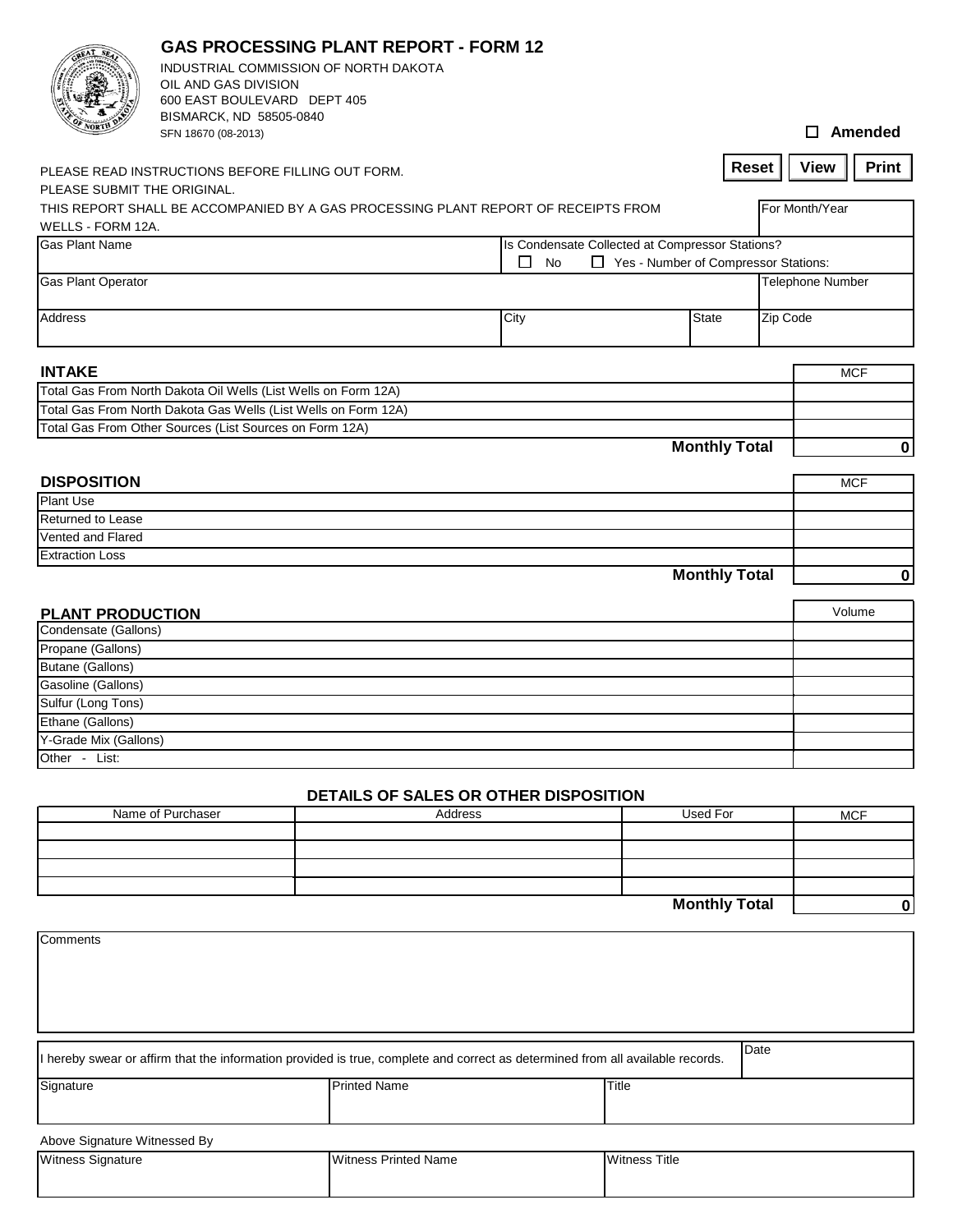|                                                                                                                   | OIL AND GAS DIVISION<br>600 EAST BOULEVARD DEPT 405<br>BISMARCK, ND 58505-0840<br>SFN 18670 (08-2013) | <b>GAS PROCESSING PLANT REPORT - FORM 12</b><br>INDUSTRIAL COMMISSION OF NORTH DAKOTA |      |              |                      | $\Box$ Amended              |  |
|-------------------------------------------------------------------------------------------------------------------|-------------------------------------------------------------------------------------------------------|---------------------------------------------------------------------------------------|------|--------------|----------------------|-----------------------------|--|
|                                                                                                                   |                                                                                                       |                                                                                       |      |              | <b>Reset</b>         | <b>Print</b><br><b>View</b> |  |
|                                                                                                                   | PLEASE READ INSTRUCTIONS BEFORE FILLING OUT FORM.                                                     |                                                                                       |      |              |                      |                             |  |
| PLEASE SUBMIT THE ORIGINAL.<br>THIS REPORT SHALL BE ACCOMPANIED BY A GAS PROCESSING PLANT REPORT OF RECEIPTS FROM |                                                                                                       |                                                                                       |      |              |                      |                             |  |
| WELLS - FORM 12A.                                                                                                 |                                                                                                       |                                                                                       |      |              |                      | For Month/Year              |  |
| <b>Gas Plant Name</b>                                                                                             | Is Condensate Collected at Compressor Stations?                                                       |                                                                                       |      |              |                      |                             |  |
|                                                                                                                   | □<br>□ Yes - Number of Compressor Stations:<br>No                                                     |                                                                                       |      |              |                      |                             |  |
| <b>Gas Plant Operator</b>                                                                                         |                                                                                                       |                                                                                       |      |              |                      | <b>Telephone Number</b>     |  |
|                                                                                                                   |                                                                                                       |                                                                                       |      |              |                      |                             |  |
| Address                                                                                                           |                                                                                                       |                                                                                       | City | <b>State</b> |                      | Zip Code                    |  |
|                                                                                                                   |                                                                                                       |                                                                                       |      |              |                      |                             |  |
|                                                                                                                   |                                                                                                       |                                                                                       |      |              |                      |                             |  |
| <b>INTAKE</b>                                                                                                     |                                                                                                       |                                                                                       |      |              |                      | <b>MCF</b>                  |  |
|                                                                                                                   | Total Gas From North Dakota Oil Wells (List Wells on Form 12A)                                        |                                                                                       |      |              |                      |                             |  |
|                                                                                                                   | Total Gas From North Dakota Gas Wells (List Wells on Form 12A)                                        |                                                                                       |      |              |                      |                             |  |
|                                                                                                                   | Total Gas From Other Sources (List Sources on Form 12A)                                               |                                                                                       |      |              |                      |                             |  |
|                                                                                                                   |                                                                                                       |                                                                                       |      |              | <b>Monthly Total</b> | $\mathbf 0$                 |  |
|                                                                                                                   |                                                                                                       |                                                                                       |      |              |                      |                             |  |
| <b>DISPOSITION</b>                                                                                                |                                                                                                       |                                                                                       |      |              |                      | <b>MCF</b>                  |  |
| Plant Use                                                                                                         |                                                                                                       |                                                                                       |      |              |                      |                             |  |
| <b>Returned to Lease</b>                                                                                          |                                                                                                       |                                                                                       |      |              |                      |                             |  |
| Vented and Flared                                                                                                 |                                                                                                       |                                                                                       |      |              |                      |                             |  |
| <b>Extraction Loss</b>                                                                                            |                                                                                                       |                                                                                       |      |              |                      |                             |  |
|                                                                                                                   |                                                                                                       |                                                                                       |      |              | <b>Monthly Total</b> | 0                           |  |
|                                                                                                                   |                                                                                                       |                                                                                       |      |              |                      |                             |  |
| <b>PLANT PRODUCTION</b>                                                                                           |                                                                                                       |                                                                                       |      |              |                      | Volume                      |  |
| Condensate (Gallons)                                                                                              |                                                                                                       |                                                                                       |      |              |                      |                             |  |
| Propane (Gallons)                                                                                                 |                                                                                                       |                                                                                       |      |              |                      |                             |  |
| <b>Butane (Gallons)</b>                                                                                           |                                                                                                       |                                                                                       |      |              |                      |                             |  |
| Gasoline (Gallons)                                                                                                |                                                                                                       |                                                                                       |      |              |                      |                             |  |
| Sulfur (Long Tons)                                                                                                |                                                                                                       |                                                                                       |      |              |                      |                             |  |
| Ethane (Gallons)                                                                                                  |                                                                                                       |                                                                                       |      |              |                      |                             |  |
| Y-Grade Mix (Gallons)                                                                                             |                                                                                                       |                                                                                       |      |              |                      |                             |  |
| Other - List:                                                                                                     |                                                                                                       |                                                                                       |      |              |                      |                             |  |
|                                                                                                                   |                                                                                                       |                                                                                       |      |              |                      |                             |  |
|                                                                                                                   |                                                                                                       | DETAILS OF SALES OR OTHER DISPOSITION                                                 |      |              |                      |                             |  |
|                                                                                                                   | Name of Purchaser                                                                                     | Address                                                                               |      | Used For     |                      | <b>MCF</b>                  |  |
|                                                                                                                   |                                                                                                       |                                                                                       |      |              |                      |                             |  |

## **Monthly Total 0**

| <b>Comments</b>                                                                                                                        |                             |                      |  |  |  |  |  |
|----------------------------------------------------------------------------------------------------------------------------------------|-----------------------------|----------------------|--|--|--|--|--|
|                                                                                                                                        |                             |                      |  |  |  |  |  |
|                                                                                                                                        |                             |                      |  |  |  |  |  |
| Date<br>I hereby swear or affirm that the information provided is true, complete and correct as determined from all available records. |                             |                      |  |  |  |  |  |
| Signature                                                                                                                              | <b>Printed Name</b>         | Title                |  |  |  |  |  |
| Above Signature Witnessed By                                                                                                           |                             |                      |  |  |  |  |  |
| Witness Signature                                                                                                                      | <b>Witness Printed Name</b> | <b>Witness Title</b> |  |  |  |  |  |